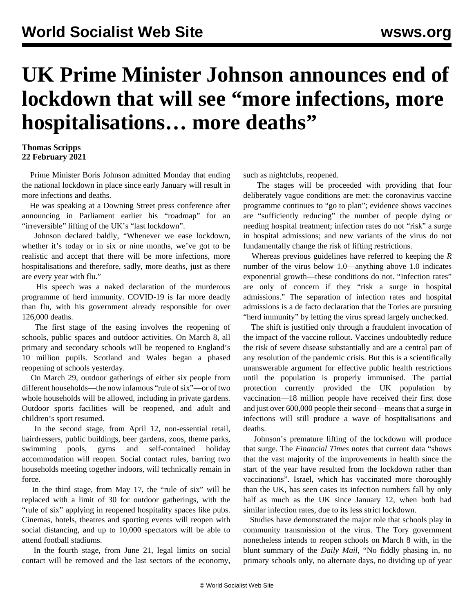## **UK Prime Minister Johnson announces end of lockdown that will see "more infections, more hospitalisations… more deaths"**

## **Thomas Scripps 22 February 2021**

 Prime Minister Boris Johnson admitted Monday that ending the national lockdown in place since early January will result in more infections and deaths.

 He was speaking at a Downing Street press conference after announcing in Parliament earlier his "roadmap" for an "irreversible" lifting of the UK's "last lockdown".

 Johnson declared baldly, "Whenever we ease lockdown, whether it's today or in six or nine months, we've got to be realistic and accept that there will be more infections, more hospitalisations and therefore, sadly, more deaths, just as there are every year with flu."

 His speech was a naked declaration of the murderous programme of herd immunity. COVID-19 is far more deadly than flu, with his government already responsible for over 126,000 deaths.

 The first stage of the easing involves the reopening of schools, public spaces and outdoor activities. On March 8, all primary and secondary schools will be reopened to England's 10 million pupils. Scotland and Wales began a phased reopening of schools yesterday.

 On March 29, outdoor gatherings of either six people from different households—the now infamous "rule of six"—or of two whole households will be allowed, including in private gardens. Outdoor sports facilities will be reopened, and adult and children's sport resumed.

 In the second stage, from April 12, non-essential retail, hairdressers, public buildings, beer gardens, zoos, theme parks, swimming pools, gyms and self-contained holiday accommodation will reopen. Social contact rules, barring two households meeting together indoors, will technically remain in force.

 In the third stage, from May 17, the "rule of six" will be replaced with a limit of 30 for outdoor gatherings, with the "rule of six" applying in reopened hospitality spaces like pubs. Cinemas, hotels, theatres and sporting events will reopen with social distancing, and up to 10,000 spectators will be able to attend football stadiums.

 In the fourth stage, from June 21, legal limits on social contact will be removed and the last sectors of the economy,

such as nightclubs, reopened.

 The stages will be proceeded with providing that four deliberately vague conditions are met: the coronavirus vaccine programme continues to "go to plan"; evidence shows vaccines are "sufficiently reducing" the number of people dying or needing hospital treatment; infection rates do not "risk" a surge in hospital admissions; and new variants of the virus do not fundamentally change the risk of lifting restrictions.

 Whereas previous guidelines have referred to keeping the *R* number of the virus below 1.0—anything above 1.0 indicates exponential growth—these conditions do not. "Infection rates" are only of concern if they "risk a surge in hospital admissions." The separation of infection rates and hospital admissions is a de facto declaration that the Tories are pursuing "herd immunity" by letting the virus spread largely unchecked.

 The shift is justified only through a fraudulent invocation of the impact of the vaccine rollout. Vaccines undoubtedly reduce the risk of severe disease substantially and are a central part of any resolution of the pandemic crisis. But this is a scientifically unanswerable argument for effective public health restrictions until the population is properly immunised. The partial protection currently provided the UK population by vaccination—18 million people have received their first dose and just over 600,000 people their second—means that a surge in infections will still produce a wave of hospitalisations and deaths.

 Johnson's premature lifting of the lockdown will produce that surge. The *Financial Times* notes that current data "shows that the vast majority of the improvements in health since the start of the year have resulted from the lockdown rather than vaccinations". Israel, which has vaccinated more thoroughly than the UK, has seen cases its infection numbers fall by only half as much as the UK since January 12, when both had similar infection rates, due to its less strict lockdown.

 Studies have demonstrated the major role that schools play in community transmission of the virus. The Tory government nonetheless intends to reopen schools on March 8 with, in the blunt summary of the *Daily Mail*, "No fiddly phasing in, no primary schools only, no alternate days, no dividing up of year